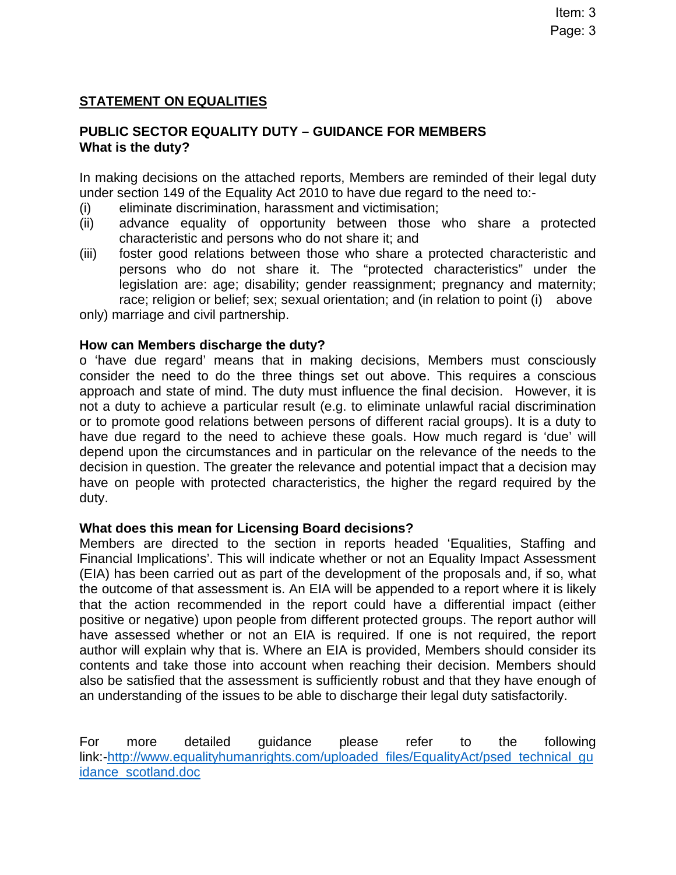## **STATEMENT ON EQUALITIES**

## **PUBLIC SECTOR EQUALITY DUTY – GUIDANCE FOR MEMBERS What is the duty?**

In making decisions on the attached reports, Members are reminded of their legal duty under section 149 of the Equality Act 2010 to have due regard to the need to:-

- (i) eliminate discrimination, harassment and victimisation;
- (ii) advance equality of opportunity between those who share a protected characteristic and persons who do not share it; and
- (iii) foster good relations between those who share a protected characteristic and persons who do not share it. The "protected characteristics" under the legislation are: age; disability; gender reassignment; pregnancy and maternity; race; religion or belief; sex; sexual orientation; and (in relation to point (i) above

only) marriage and civil partnership.

## **How can Members discharge the duty?**

o 'have due regard' means that in making decisions, Members must consciously consider the need to do the three things set out above. This requires a conscious approach and state of mind. The duty must influence the final decision. However, it is not a duty to achieve a particular result (e.g. to eliminate unlawful racial discrimination or to promote good relations between persons of different racial groups). It is a duty to have due regard to the need to achieve these goals. How much regard is 'due' will depend upon the circumstances and in particular on the relevance of the needs to the decision in question. The greater the relevance and potential impact that a decision may have on people with protected characteristics, the higher the regard required by the duty.

## **What does this mean for Licensing Board decisions?**

Members are directed to the section in reports headed 'Equalities, Staffing and Financial Implications'. This will indicate whether or not an Equality Impact Assessment (EIA) has been carried out as part of the development of the proposals and, if so, what the outcome of that assessment is. An EIA will be appended to a report where it is likely that the action recommended in the report could have a differential impact (either positive or negative) upon people from different protected groups. The report author will have assessed whether or not an EIA is required. If one is not required, the report author will explain why that is. Where an EIA is provided, Members should consider its contents and take those into account when reaching their decision. Members should also be satisfied that the assessment is sufficiently robust and that they have enough of an understanding of the issues to be able to discharge their legal duty satisfactorily.

For more detailed guidance please refer to the following link:[-http://www.equalityhumanrights.com/uploaded\\_files/EqualityAct/psed\\_technical\\_gu](http://www.equalityhumanrights.com/uploaded_files/EqualityAct/psed_technical_guidance_scotland.doc) [idance\\_scotland.doc](http://www.equalityhumanrights.com/uploaded_files/EqualityAct/psed_technical_guidance_scotland.doc)